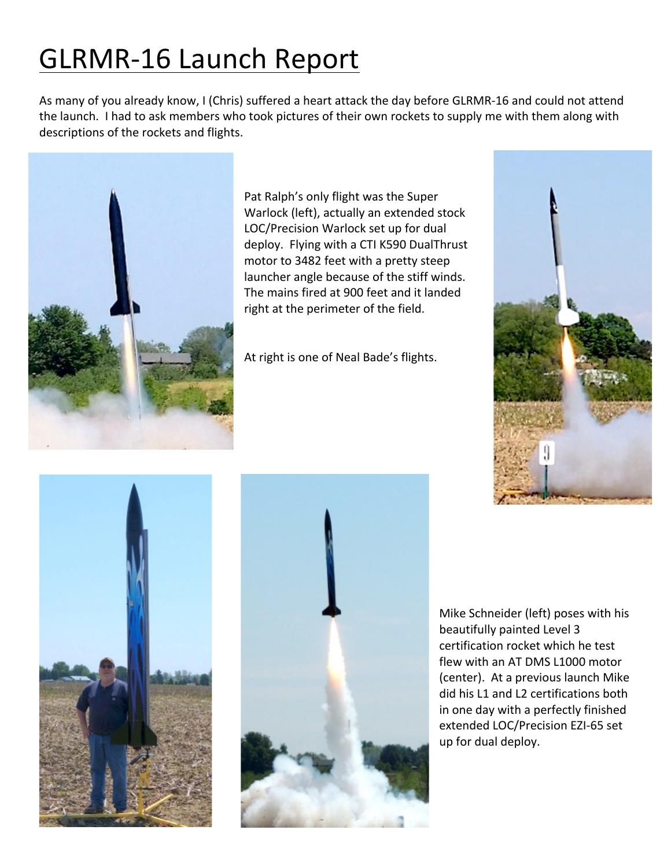## **GLRMR-16 Launch Report**

As many of you already know, I (Chris) suffered a heart attack the day before GLRMR-16 and could not attend the launch. I had to ask members who took pictures of their own rockets to supply me with them along with descriptions of the rockets and flights.



Pat Ralph's only flight was the Super Warlock (left), actually an extended stock LOC/Precision Warlock set up for dual deploy. Flying with a CTI K590 DualThrust motor to 3482 feet with a pretty steep launcher angle because of the stiff winds. The mains fired at 900 feet and it landed right at the perimeter of the field.

At right is one of Neal Bade's flights.







Mike Schneider (left) poses with his beautifully painted Level 3 certification rocket which he test flew with an AT DMS L1000 motor (center). At a previous launch Mike did his L1 and L2 certifications both in one day with a perfectly finished extended LOC/Precision EZI-65 set up for dual deploy.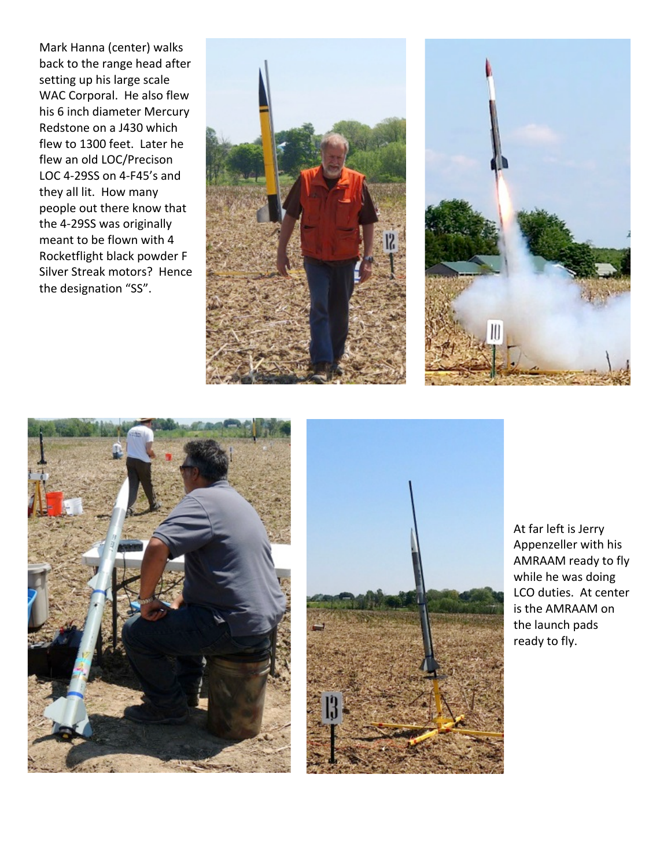Mark Hanna (center) walks back to the range head after setting up his large scale WAC Corporal. He also flew his 6 inch diameter Mercury Redstone on a J430 which flew to 1300 feet. Later he flew an old LOC/Precison LOC 4-29SS on 4-F45's and they all lit. How many people out there know that the 4-29SS was originally meant to be flown with 4 Rocketflight black powder F Silver Streak motors? Hence the designation "SS".









At far left is Jerry Appenzeller with his AMRAAM ready to fly while he was doing LCO duties. At center is the AMRAAM on the launch pads ready to fly.